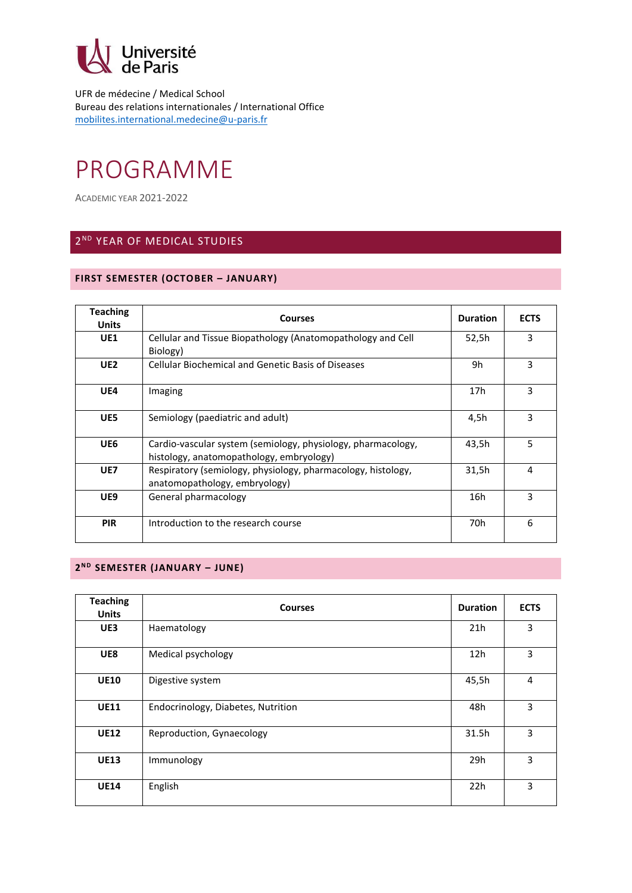

UFR de médecine / Medical School Bureau des relations internationales / International Office [mobilites.international.medecine@u-paris.fr](mailto:mobilites.international.medecine@u-paris.fr)

# PROGRAMME

ACADEMIC YEAR 2021-2022

# 2 ND YEAR OF MEDICAL STUDIES

## **FIRST SEMESTER (OCTOBER – JANUARY)**

| <b>Teaching</b><br><b>Units</b> | <b>Courses</b>                                                                                           | <b>Duration</b> | <b>ECTS</b>    |
|---------------------------------|----------------------------------------------------------------------------------------------------------|-----------------|----------------|
| UE1                             | Cellular and Tissue Biopathology (Anatomopathology and Cell<br>Biology)                                  | 52,5h           | 3              |
| UE <sub>2</sub>                 | <b>Cellular Biochemical and Genetic Basis of Diseases</b>                                                | 9h              | 3              |
| UE4                             | Imaging                                                                                                  | 17 <sub>h</sub> | 3              |
| UE5                             | Semiology (paediatric and adult)                                                                         | 4,5h            | 3              |
| UE6                             | Cardio-vascular system (semiology, physiology, pharmacology,<br>histology, anatomopathology, embryology) | 43,5h           | 5              |
| UE7                             | Respiratory (semiology, physiology, pharmacology, histology,<br>anatomopathology, embryology)            | 31,5h           | $\overline{4}$ |
| UE9                             | General pharmacology                                                                                     | 16h             | 3              |
| <b>PIR</b>                      | Introduction to the research course                                                                      | 70h             | 6              |

#### **2 N D SEMESTER (JANUARY – JUNE)**

| <b>Teaching</b><br><b>Units</b> | <b>Courses</b>                     | <b>Duration</b> | <b>ECTS</b>    |
|---------------------------------|------------------------------------|-----------------|----------------|
| UE3                             | Haematology                        | 21h             | 3              |
| UE8                             | Medical psychology                 | 12h             | 3              |
| <b>UE10</b>                     | Digestive system                   | 45,5h           | $\overline{4}$ |
| <b>UE11</b>                     | Endocrinology, Diabetes, Nutrition | 48h             | 3              |
| <b>UE12</b>                     | Reproduction, Gynaecology          | 31.5h           | 3              |
| <b>UE13</b>                     | Immunology                         | 29h             | 3              |
| <b>UE14</b>                     | English                            | 22h             | 3              |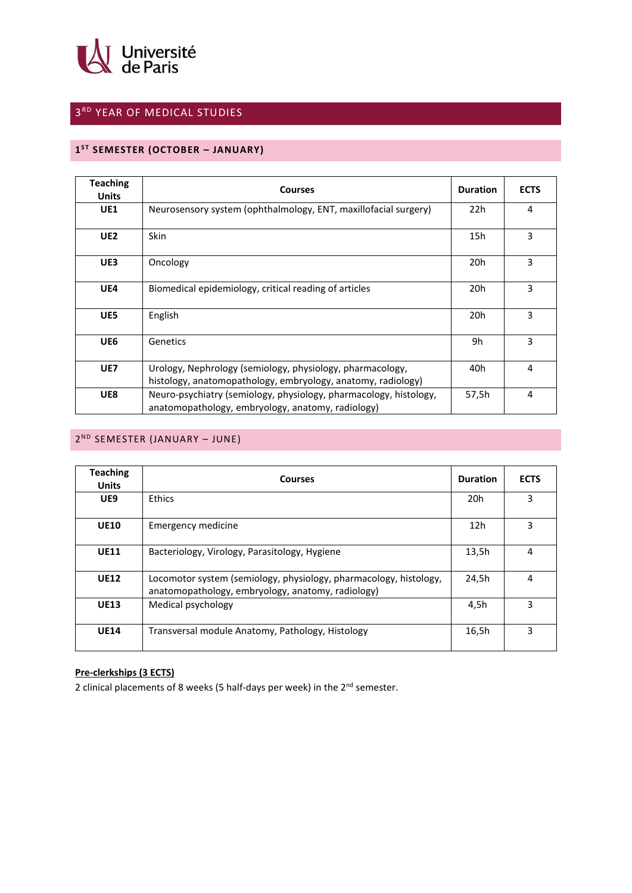

# 3 RD YEAR OF MEDICAL STUDIES

#### **1 S T SEMESTER (OCTOBER – JANUARY)**

| <b>Teaching</b><br><b>Units</b> | <b>Courses</b>                                                                                                            | <b>Duration</b> | <b>ECTS</b>    |
|---------------------------------|---------------------------------------------------------------------------------------------------------------------------|-----------------|----------------|
| <b>UE1</b>                      | Neurosensory system (ophthalmology, ENT, maxillofacial surgery)                                                           | 22h             | 4              |
| UE <sub>2</sub>                 | <b>Skin</b>                                                                                                               | 15h             | 3              |
| UE3                             | Oncology                                                                                                                  | 20h             | 3              |
| UE4                             | Biomedical epidemiology, critical reading of articles                                                                     | 20 <sub>h</sub> | 3              |
| UE5                             | English                                                                                                                   | 20h             | 3              |
| UE6                             | Genetics                                                                                                                  | 9h              | 3              |
| UE7                             | Urology, Nephrology (semiology, physiology, pharmacology,<br>histology, anatomopathology, embryology, anatomy, radiology) | 40h             | $\overline{4}$ |
| UE8                             | Neuro-psychiatry (semiology, physiology, pharmacology, histology,<br>anatomopathology, embryology, anatomy, radiology)    | 57,5h           | $\overline{4}$ |

#### 2<sup>ND</sup> SEMESTER (JANUARY - JUNE)

| <b>Teaching</b><br><b>Units</b> | <b>Courses</b>                                                                                                         | <b>Duration</b> | <b>ECTS</b> |
|---------------------------------|------------------------------------------------------------------------------------------------------------------------|-----------------|-------------|
| UE9                             | <b>Ethics</b>                                                                                                          | 20h             | 3           |
| <b>UE10</b>                     | <b>Emergency medicine</b>                                                                                              | 12h             | 3           |
| <b>UE11</b>                     | Bacteriology, Virology, Parasitology, Hygiene                                                                          | 13,5h           | 4           |
| <b>UE12</b>                     | Locomotor system (semiology, physiology, pharmacology, histology,<br>anatomopathology, embryology, anatomy, radiology) | 24,5h           | 4           |
| <b>UE13</b>                     | Medical psychology                                                                                                     | 4,5h            | 3           |
| <b>UE14</b>                     | Transversal module Anatomy, Pathology, Histology                                                                       | 16,5h           | 3           |

## **Pre-clerkships (3 ECTS)**

2 clinical placements of 8 weeks (5 half-days per week) in the 2<sup>nd</sup> semester.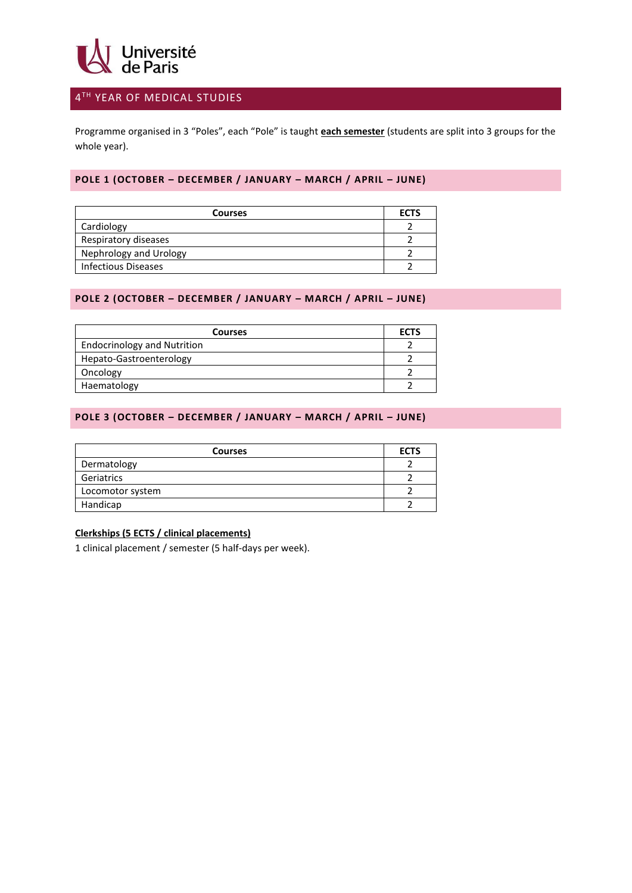

# 4 TH YEAR OF MEDICAL STUDIES

Programme organised in 3 "Poles", each "Pole" is taught **each semester** (students are split into 3 groups for the whole year).

#### **POLE 1 (OCTOBER – DECEMBER / JANUARY – MARCH / APRIL – JUNE)**

| <b>Courses</b>             | <b>ECTS</b> |
|----------------------------|-------------|
| Cardiology                 |             |
| Respiratory diseases       |             |
| Nephrology and Urology     |             |
| <b>Infectious Diseases</b> |             |

#### **POLE 2 (OCTOBER – DECEMBER / JANUARY – MARCH / APRIL – JUNE)**

| <b>Courses</b>                     | <b>ECTS</b> |
|------------------------------------|-------------|
| <b>Endocrinology and Nutrition</b> |             |
| Hepato-Gastroenterology            |             |
| Oncology                           |             |
| Haematology                        |             |

## **POLE 3 (OCTOBER – DECEMBER / JANUARY – MARCH / APRIL – JUNE)**

| <b>Courses</b>   | <b>ECTS</b> |
|------------------|-------------|
| Dermatology      |             |
| Geriatrics       |             |
| Locomotor system |             |
| Handicap         |             |

#### **Clerkships (5 ECTS / clinical placements)**

1 clinical placement / semester (5 half-days per week).